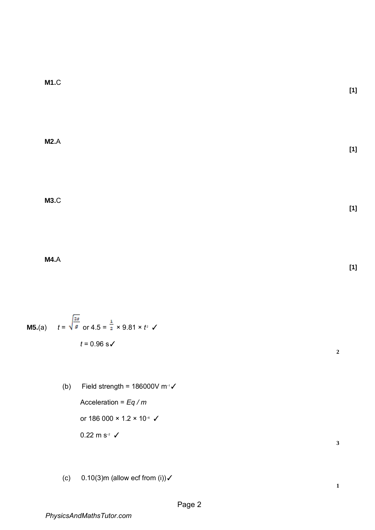**M1.**C

**M2.**A

**M3.**C

**M4.**A

**M5.**(a)  $t = \sqrt{9}$  or  $4.5 = \frac{1}{2} \times 9.81 \times t^2$   $\checkmark$ *t* = 0.96 s√

> (b) Field strength =  $186000V$  m<sup>-1</sup> $\checkmark$ Acceleration = *Eq / m*  or 186 000  $\times$  1.2  $\times$  10<sup>-6</sup>  $\checkmark$ 0.22 m s<sup>-2</sup>  $\checkmark$

(c)  $0.10(3)$ m (allow ecf from (i)) $\checkmark$ 

**[1]** 

**[1]** 

**[1]** 

**[1]** 

**3**

**2**

**1**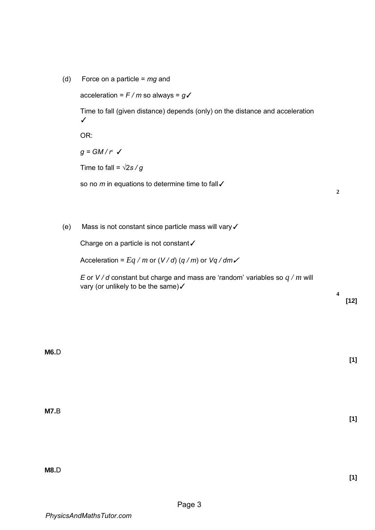(d) Force on a particle = *mg* and

```
acceleration = F / m so always = g✓
```
Time to fall (given distance) depends (only) on the distance and acceleration ✓

OR:

 $g = GM/r^2$   $\checkmark$ 

Time to fall =  $\sqrt{2s/g}$ 

so no *m* in equations to determine time to fall √

**2**

(e) Mass is not constant since particle mass will vary✓

Charge on a particle is not constant✓

Acceleration =  $Eq/m$  or  $(V/d)$  ( $q/m$ ) or  $Vq/dm$ 

*E* or *V / d* constant but charge and mass are 'random' variables so *q / m* will vary (or unlikely to be the same)  $\checkmark$ 

> **4 [12]**

> > **[1]**

**M6.**D

**M7.**B

**M8.**D

**[1]** 

**[1]**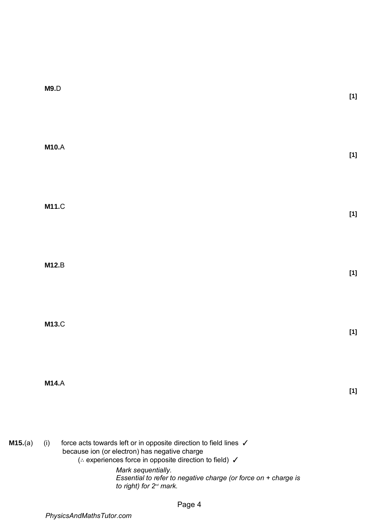|         | M9.D                                                                                                                                                                                                                                                                                                                         | $[1]$ |
|---------|------------------------------------------------------------------------------------------------------------------------------------------------------------------------------------------------------------------------------------------------------------------------------------------------------------------------------|-------|
|         | <b>M10.A</b>                                                                                                                                                                                                                                                                                                                 | $[1]$ |
|         | <b>M11.C</b>                                                                                                                                                                                                                                                                                                                 | $[1]$ |
|         | <b>M12.B</b>                                                                                                                                                                                                                                                                                                                 | $[1]$ |
|         | <b>M13.C</b>                                                                                                                                                                                                                                                                                                                 | $[1]$ |
|         | <b>M14.A</b>                                                                                                                                                                                                                                                                                                                 | $[1]$ |
| M15.(a) | force acts towards left or in opposite direction to field lines √<br>(i)<br>because ion (or electron) has negative charge<br>(∴ experiences force in opposite direction to field) √<br>Mark sequentially.<br>Essential to refer to negative charge (or force on + charge is<br>to right) for 2 <sup>nd</sup> mark.<br>Page 4 |       |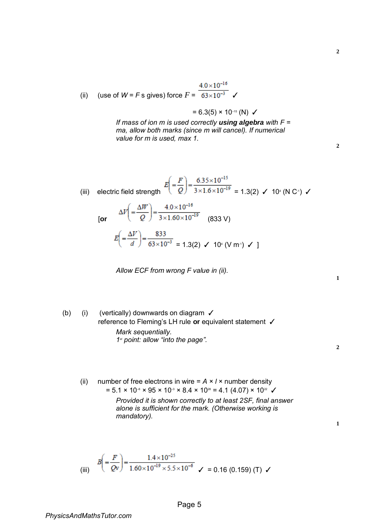(ii) (use of 
$$
W = F
$$
 s gives) force  $F = \frac{4.0 \times 10^{-16}}{63 \times 10^{-3}}$ 

$$
= 6.3(5) \times 10^{-15}
$$
 (N)  $\checkmark$ 

*If mass of ion m is used correctly using algebra with F = ma, allow both marks (since m will cancel). If numerical value for m is used, max 1.* 

| (iii) electric field strength $E\left(\frac{F}{Q}\right) = \frac{6.35 \times 10^{-15}}{3 \times 1.6 \times 10^{-19}} = 1.3(2)$ $\checkmark$ 10 <sup>4</sup> (N C <sup>4</sup> ) $\checkmark$ |
|----------------------------------------------------------------------------------------------------------------------------------------------------------------------------------------------|
| [or $\Delta V = \frac{\Delta W}{Q} = \frac{4.0 \times 10^{-16}}{3 \times 1.60 \times 10^{-19}}$ (833 V)                                                                                      |
| $E\left(\frac{\Delta V}{d}\right) = \frac{833}{63 \times 10^{-3}} = 1.3(2) \checkmark 10^{4} (V m^{4}) \checkmark 1$                                                                         |

*Allow ECF from wrong F value in (ii).* 

(b) (i) (vertically) downwards on diagram ✓ reference to Fleming's LH rule **or** equivalent statement ✓ *Mark sequentially.* 

*1 st point: allow "into the page".* 

**2**

**1**

**1**

(ii) number of free electrons in wire  $= A \times I \times$  number density  $= 5.1 \times 10^{-6} \times 95 \times 10^{-3} \times 8.4 \times 10^{28} = 4.1 (4.07) \times 10^{22}$ *Provided it is shown correctly to at least 2SF, final answer alone is sufficient for the mark. (Otherwise working is* 

*mandatory).* 

(iii) 
$$
B\left(=\frac{F}{Qv}\right) = \frac{1.4 \times 10^{-25}}{1.60 \times 10^{-19} \times 5.5 \times 10^{-6}} \quad \checkmark = 0.16 (0.159) (T) \quad \checkmark
$$

**2**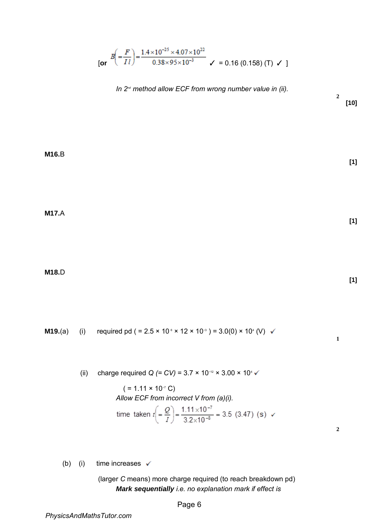$$
B\left(\frac{F}{II}\right) = \frac{1.4 \times 10^{-25} \times 4.07 \times 10^{22}}{0.38 \times 95 \times 10^{-3}} \times 0.16 \text{ (0.158) (T)} \times 1
$$

*In 2<sup>nd</sup>* method allow ECF from wrong number value in (ii).

**[10]** 

**[1]** 

**2**

**M16.**B

**M17.**A

**M18.**D

**[1]** 

**1**

**2**

**[1]** 

**M19.**(a) (i) required pd ( =  $2.5 \times 10^{8} \times 12 \times 10^{3}$  ) =  $3.0(0) \times 10^{4}$  (V)

(ii) charge required *Q (= CV)* = 3.7 × 10−12 × 3.00 × 10<sup>4</sup>

 $( = 1.11 \times 10^{-7} \text{ C})$ *Allow ECF from incorrect V from (a)(i).*  tir

me taken 
$$
t\left(=\frac{Q}{I}\right) = \frac{1.11 \times 10^{-7}}{3.2 \times 10^{-8}} = 3.5
$$
 (3.47) (s)  $\checkmark$ 

(b) (i) time increases  $\checkmark$ 

(larger *C* means) more charge required (to reach breakdown pd) *Mark sequentially i.e. no explanation mark if effect is*